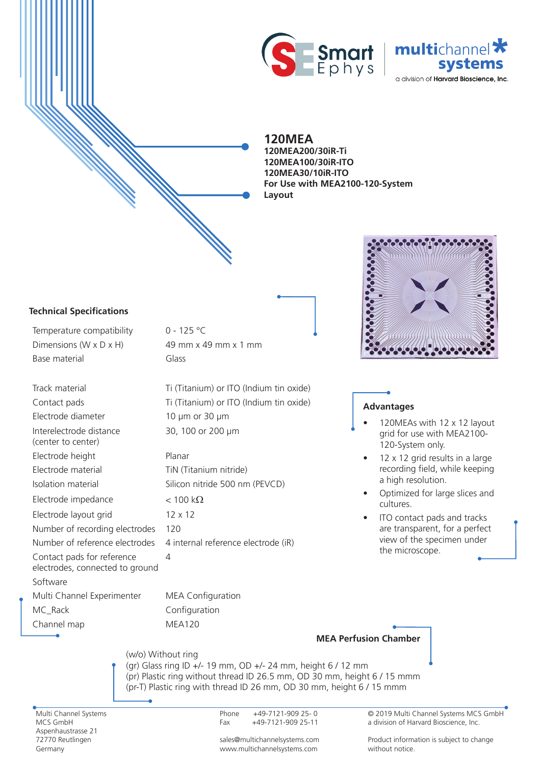



## **120MEA**

**Layout 120MEA200/30iR-Ti 120MEA100/30iR-ITO 120MEA30/10iR-ITO For Use with MEA2100-120-System**

### **Technical Specifications**

24- 24- 24-WeWeWe

24-We 24- 24-WeWe

Temperature compatibility 0 - 125 °C Dimensions (W  $\times$  D  $\times$  H) 49 mm  $\times$  49 mm  $\times$  1 mm Base material Glass

Electrode diameter 10 µm or 30 µm Interelectrode distance (center to center) Electrode height Planar Electrode material TiN (Titanium nitride) Electrode impedance  $< 100 \text{ k}\Omega$ Electrode layout grid 12 x 12 Number of recording electrodes 120 Contact pads for reference electrodes, connected to ground Software Multi Channel Experimenter MEA Configuration

MC\_Rack Configuration

Channel map MEA120

Track material Ti (Titanium) or ITO (Indium tin oxide) Contact pads Ti (Titanium) or ITO (Indium tin oxide) 30, 100 or 200 µm

Isolation material Silicon nitride 500 nm (PEVCD) Number of reference electrodes 4 internal reference electrode (iR)  $\Delta$ 



### **Advantages**

**MEA Perfusion Chamber**

- 120MEAs with 12 x 12 layout grid for use with MEA2100- 120-System only.
- $12 \times 12$  grid results in a large recording field, while keeping a high resolution.
- Optimized for large slices and cultures.
- ITO contact pads and tracks are transparent, for a perfect view of the specimen under the microscope.

(w/o) Without ring (gr) Glass ring ID +/- 19 mm, OD +/- 24 mm, height 6 / 12 mm (pr) Plastic ring without thread ID 26.5 mm, OD 30 mm, height 6 / 15 mmm (pr-T) Plastic ring with thread ID 26 mm, OD 30 mm, height 6 / 15 mmm

Multi Channel Systems MCS GmbH Aspenhaustrasse 21 72770 Reutlingen Germany

Phone +49-7121-909 25- 0 Fax +49-7121-909 25-11

sales@multichannelsystems.com www.multichannelsystems.com

© 2019 Multi Channel Systems MCS GmbH a division of Harvard Bioscience, Inc.

Product information is subject to change without notice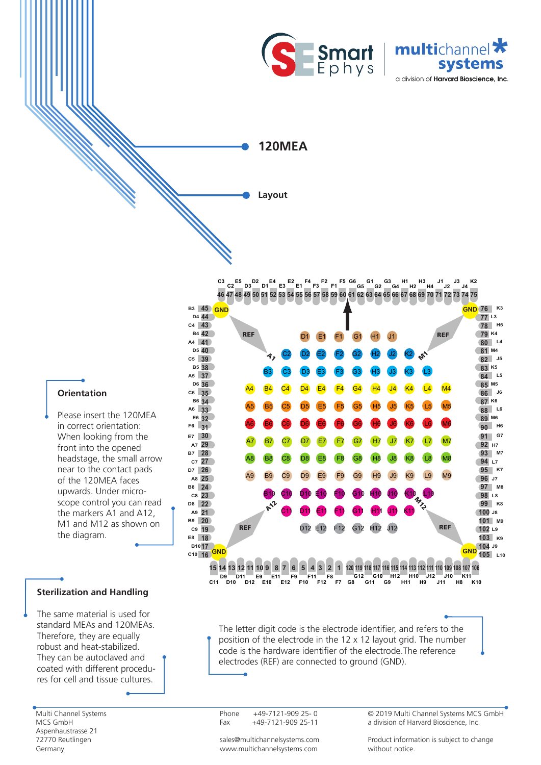



**120MEA**

**Layout**

**46 47 48 49 50 51 52 53 54 55 56 57 58 59 60 61 62 63 64 65 66 67 68 69 70 71 72 73 74 75 C2 D3 D1 E3 E1 F3 F1 G5 G2 G4 H2 H4 J2 J4 C3 E5 D2 E4 E2 F4 F2 F5 G6 G1 G3 H1 H3 J1 J3 K2** 



The letter digit code is the electrode identifier, and refers to the position of the electrode in the 12 x 12 layout grid. The number code is the hardware identifier of the electrode.The reference electrodes (REF) are connected to ground (GND).

Phone +49-7121-909 25- 0 Fax +49-7121-909 25-11

© 2019 Multi Channel Systems MCS GmbH a division of Harvard Bioscience, Inc.

# **Orientation**

24-We 24- 24-WeWe

24- 24- 24-WeWeWe

Please insert the 120MEA in correct orientation: When looking from the front into the opened headstage, the small arrow near to the contact pads of the 120MEA faces upwards. Under microscope control you can read the markers A1 and A12, M1 and M12 as shown on the diagram.

### **Sterilization and Handling**

The same material is used for standard MEAs and 120MEAs. Therefore, they are equally robust and heat-stabilized. They can be autoclaved and coated with different procedures for cell and tissue cultures.

Multi Channel Systems MCS GmbH Aspenhaustrasse 21 72770 Reutlingen Germany

sales@multichannelsystems.com www.multichannelsystems.com

Product information is subject to change without notice.